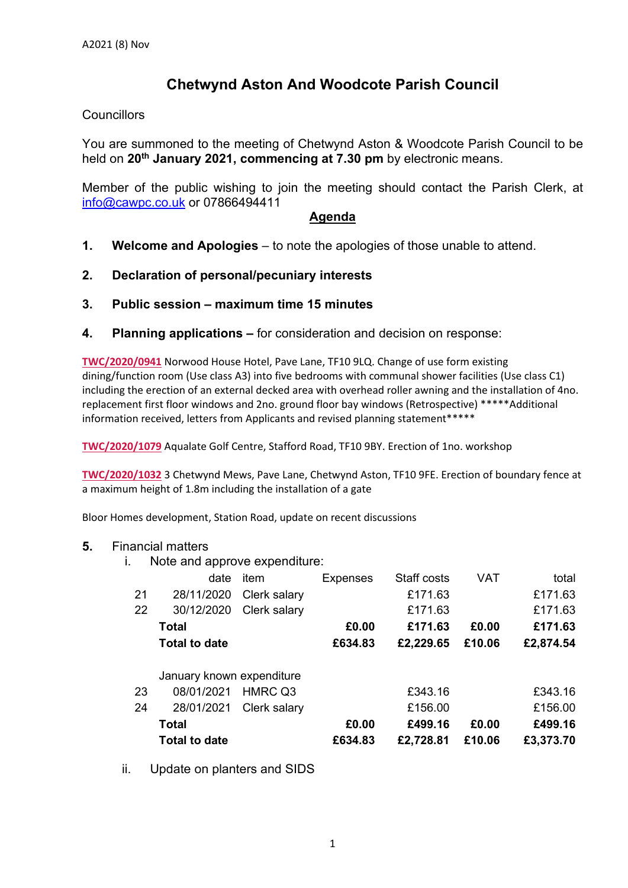# **Chetwynd Aston And Woodcote Parish Council**

### **Councillors**

You are summoned to the meeting of Chetwynd Aston & Woodcote Parish Council to be held on **20th January 2021, commencing at 7.30 pm** by electronic means.

Member of the public wishing to join the meeting should contact the Parish Clerk, at [info@cawpc.co.uk](mailto:info@cawpc.co.uk) or 07866494411

#### **Agenda**

- **1. Welcome and Apologies** to note the apologies of those unable to attend.
- **2. Declaration of personal/pecuniary interests**
- **3. Public session – maximum time 15 minutes**
- **4. Planning applications –** for consideration and decision on response:

**[TWC/2020/0941](https://secure.telford.gov.uk/planning/pa-standardconsultee.aspx?ApplicationID=122699&ApplicationNumber=TWC/2020/0941&AppLetterID=814931)** Norwood House Hotel, Pave Lane, TF10 9LQ. Change of use form existing dining/function room (Use class A3) into five bedrooms with communal shower facilities (Use class C1) including the erection of an external decked area with overhead roller awning and the installation of 4no. replacement first floor windows and 2no. ground floor bay windows (Retrospective) \*\*\*\*\*Additional information received, letters from Applicants and revised planning statement\*\*\*\*\*

**[TWC/2020/1079](https://secure.telford.gov.uk/planning/pa-standardconsultee.aspx?ApplicationID=123145&ApplicationNumber=TWC/2020/1079&AppLetterID=814189)** Aqualate Golf Centre, Stafford Road, TF10 9BY. Erection of 1no. workshop

**[TWC/2020/1032](https://secure.telford.gov.uk/planning/pa-standardconsultee.aspx?ApplicationID=123071&ApplicationNumber=TWC/2020/1032&AppLetterID=812924)** 3 Chetwynd Mews, Pave Lane, Chetwynd Aston, TF10 9FE. Erection of boundary fence at a maximum height of 1.8m including the installation of a gate

Bloor Homes development, Station Road, update on recent discussions

#### **5.** Financial matters

i. Note and approve expenditure:

|                           | date                 | item         | <b>Expenses</b> | Staff costs | VAT    | total     |
|---------------------------|----------------------|--------------|-----------------|-------------|--------|-----------|
| 21                        | 28/11/2020           | Clerk salary |                 | £171.63     |        | £171.63   |
| 22                        | 30/12/2020           | Clerk salary |                 | £171.63     |        | £171.63   |
|                           | <b>Total</b>         |              | £0.00           | £171.63     | £0.00  | £171.63   |
|                           | <b>Total to date</b> |              | £634.83         | £2,229.65   | £10.06 | £2,874.54 |
| January known expenditure |                      |              |                 |             |        |           |
| 23                        | 08/01/2021           | HMRC Q3      |                 | £343.16     |        | £343.16   |
| 24                        | 28/01/2021           | Clerk salary |                 | £156.00     |        | £156.00   |
|                           | <b>Total</b>         |              | £0.00           | £499.16     | £0.00  | £499.16   |
|                           | <b>Total to date</b> |              | £634.83         | £2,728.81   | £10.06 | £3,373.70 |

ii. Update on planters and SIDS